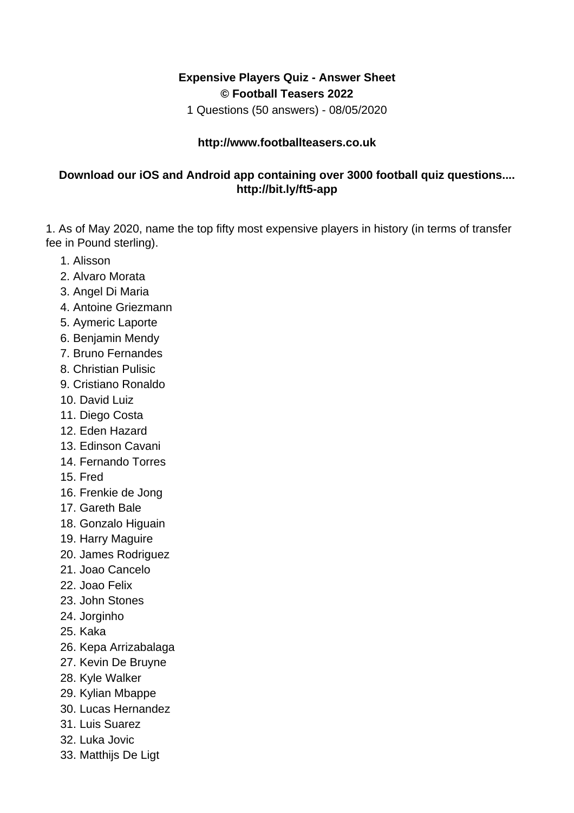## **Expensive Players Quiz - Answer Sheet © Football Teasers 2022**

1 Questions (50 answers) - 08/05/2020

## **http://www.footballteasers.co.uk**

## **Download our iOS and Android app containing over 3000 football quiz questions.... http://bit.ly/ft5-app**

1. As of May 2020, name the top fifty most expensive players in history (in terms of transfer fee in Pound sterling).

- 1. Alisson
- 2. Alvaro Morata
- 3. Angel Di Maria
- 4. Antoine Griezmann
- 5. Aymeric Laporte
- 6. Benjamin Mendy
- 7. Bruno Fernandes
- 8. Christian Pulisic
- 9. Cristiano Ronaldo
- 10. David Luiz
- 11. Diego Costa
- 12. Eden Hazard
- 13. Edinson Cavani
- 14. Fernando Torres
- 15. Fred
- 16. Frenkie de Jong
- 17. Gareth Bale
- 18. Gonzalo Higuain
- 19. Harry Maguire
- 20. James Rodriguez
- 21. Joao Cancelo
- 22. Joao Felix
- 23. John Stones
- 24. Jorginho
- 25. Kaka
- 26. Kepa Arrizabalaga
- 27. Kevin De Bruyne
- 28. Kyle Walker
- 29. Kylian Mbappe
- 30. Lucas Hernandez
- 31. Luis Suarez
- 32. Luka Jovic
- 33. Matthijs De Ligt